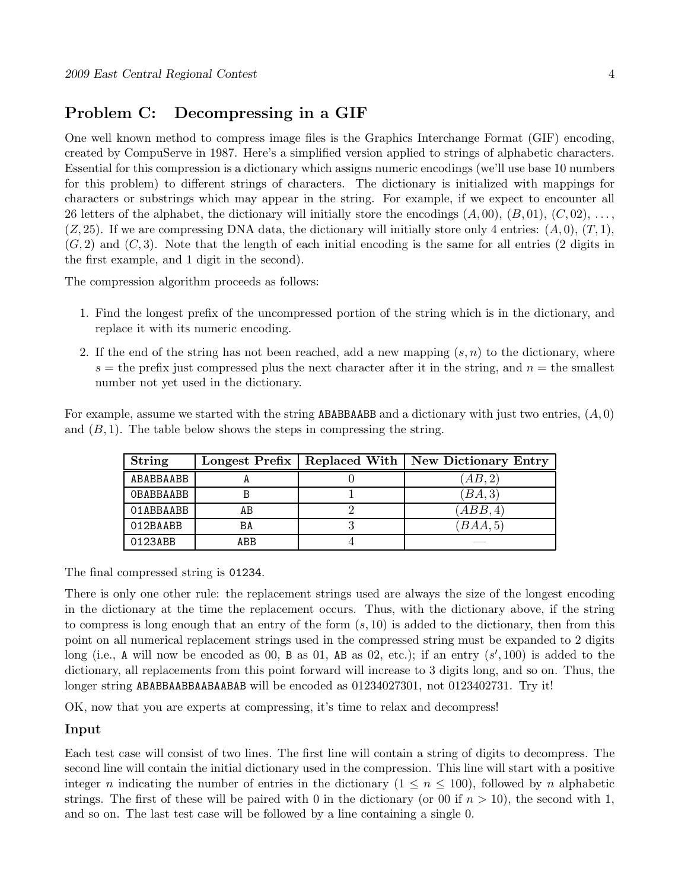# Problem C: Decompressing in a GIF

One well known method to compress image files is the Graphics Interchange Format (GIF) encoding, created by CompuServe in 1987. Here's a simplified version applied to strings of alphabetic characters. Essential for this compression is a dictionary which assigns numeric encodings (we'll use base 10 numbers for this problem) to different strings of characters. The dictionary is initialized with mappings for characters or substrings which may appear in the string. For example, if we expect to encounter all 26 letters of the alphabet, the dictionary will initially store the encodings  $(A, 00), (B, 01), (C, 02), \ldots$  $(Z, 25)$ . If we are compressing DNA data, the dictionary will initially store only 4 entries:  $(A, 0), (T, 1)$ ,  $(G, 2)$  and  $(C, 3)$ . Note that the length of each initial encoding is the same for all entries (2 digits in the first example, and 1 digit in the second).

The compression algorithm proceeds as follows:

- 1. Find the longest prefix of the uncompressed portion of the string which is in the dictionary, and replace it with its numeric encoding.
- 2. If the end of the string has not been reached, add a new mapping  $(s, n)$  to the dictionary, where  $s =$  the prefix just compressed plus the next character after it in the string, and  $n =$  the smallest number not yet used in the dictionary.

For example, assume we started with the string **ABABBAABB** and a dictionary with just two entries,  $(A, 0)$ and  $(B, 1)$ . The table below shows the steps in compressing the string.

| <b>String</b> | Longest Prefix | Replaced With   New Dictionary Entry |
|---------------|----------------|--------------------------------------|
| ABABBAABB     |                | AB,2                                 |
| OBABBAABB     |                | (BA,3)                               |
| 01ABBAABB     | AВ             | (ABB, 4)                             |
| 012BAABB      | BA             | BAA,5                                |
| 0123ABB       | ABB            |                                      |

The final compressed string is 01234.

There is only one other rule: the replacement strings used are always the size of the longest encoding in the dictionary at the time the replacement occurs. Thus, with the dictionary above, if the string to compress is long enough that an entry of the form  $(s, 10)$  is added to the dictionary, then from this point on all numerical replacement strings used in the compressed string must be expanded to 2 digits long (i.e., A will now be encoded as  $00$ , B as  $01$ , AB as  $02$ , etc.); if an entry  $(s', 100)$  is added to the dictionary, all replacements from this point forward will increase to 3 digits long, and so on. Thus, the longer string ABABBAABBAABAABAB will be encoded as 01234027301, not 0123402731. Try it!

OK, now that you are experts at compressing, it's time to relax and decompress!

#### Input

Each test case will consist of two lines. The first line will contain a string of digits to decompress. The second line will contain the initial dictionary used in the compression. This line will start with a positive integer n indicating the number of entries in the dictionary  $(1 \le n \le 100)$ , followed by n alphabetic strings. The first of these will be paired with 0 in the dictionary (or 00 if  $n > 10$ ), the second with 1, and so on. The last test case will be followed by a line containing a single 0.